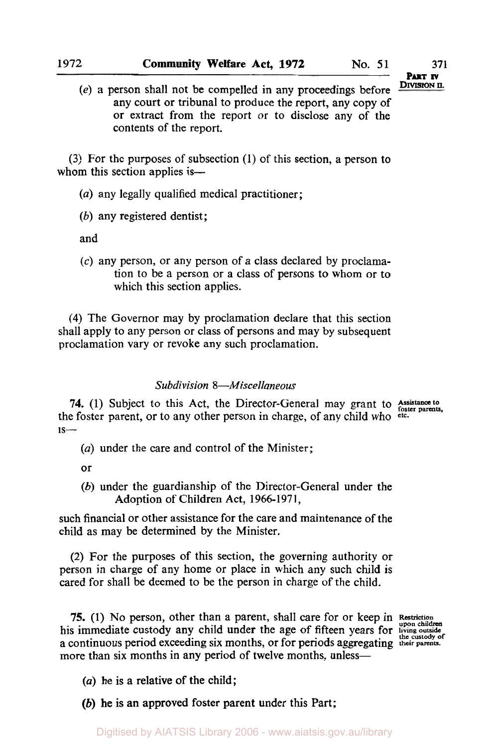**(3)** For the purposes of subsection (1) of this section, a person to whom this section applies is-

*(a)* any legally qualified medical practitioner;

*(b)* any registered dentist;

and

(c) any person, or any person of a class declared by proclamation to be a person or a class of persons to whom **or** to which this section applies.

**(4)** The Governor may by proclamation declare that this section shall apply to any person or class of persons and may by subsequent proclamation vary or revoke any such proclamation.

#### *Subdivision 8-Miscellaneous*

**74.** (1) Subject to this Act, the Director-General may grant to **Assistance to** foster parents, the foster parent, or to any other person in charge, of any child who **etc.**   $is-$ 

*(a)* under the care and control of the Minister;

or

*(b)* under the guardianship of the Director-General under the Adoption of Children Act, **1966-1971,** 

such financial or other assistance for the care and maintenance of the child as may be determined by the Minister.

(2) For the purposes of this section, the governing authority or person in charge of any home or place in which any such child is cared for shall be deemed to be the person in charge of the child.

**75.** (1) No person, other than a parent, shall care for or keep in Restriction his immediate custody any child under the age of fifteen years for **living outside the Custody** of a continuous period exceeding six months, or for periods aggregating **their parents.**  more than six months in any period of twelve months, unless-

*(a)* he is a relative **of** the child;

*(b)* he **is an** approved foster parent under **this** Part;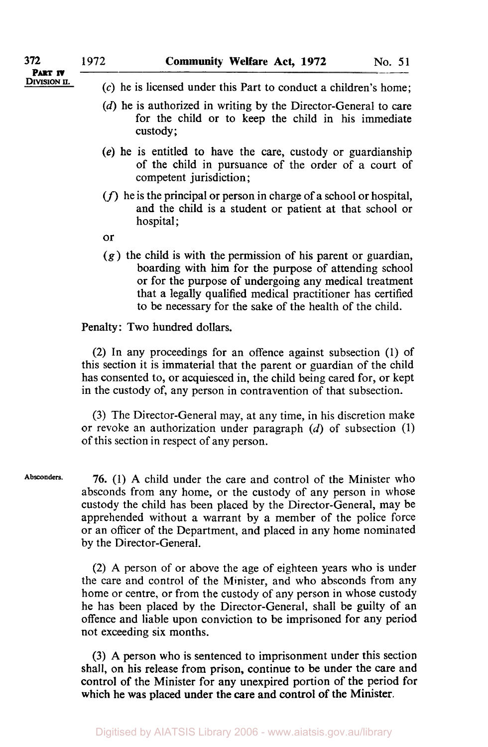- **PART IV**
- **DIVISION II.** (c) he is licensed under this Part to conduct a children's home:
	- **(d)** he is authorized in writing by the Director-General to care for the child or to keep the child in his immediate custody;
	- **(e)** he is entitled to have the care, custody or guardianship of the child in pursuance of the order of a court of competent jurisdiction;
	- *(f)* he is the principal or person in charge of a school or hospital, and the child is a student or patient at that school or hospital;
	- or
	- **(g)** the child is with the permission of his parent or guardian, boarding with him for the purpose of attending school or for the purpose of undergoing any medical treatment that a legally qualified medical practitioner has certified to be necessary for the sake **of** the health of the child.

### Penalty: Two hundred dollars.

(2) In any proceedings for an offence against subsection (1) of this section it is immaterial that the parent or guardian **of** the child has consented to, or acquiesced in, the child being cared for, or kept in the custody of, any person in contravention of that subsection.

**(3)** The Director-General may, at any time, in his discretion make or revoke an authorization under paragraph *(d)* of subsection **(1) of** this section in respect of any person.

**76. (1) A** child under the care and control of the Minister who absconds from any home, or the custody of any person in whose custody the child has been placed by the Director-General, may be apprehended without a warrant by a member of the police force or an officer **of** the Department, and placed in any home nominated by the Director-General. **Absconders.** 

> (2) **A** person of or above the age of eighteen years who is under the care and control of the Minister, and who absconds from any home or centre, or from the custody of any person in whose custody he has been placed by the Director-General, shall be guilty of an offence and liable upon conviction to be imprisoned for any period not exceeding six months.

> **(3) A** person who **is** sentenced to imprisonment under this section shall, on his release from prison, continue to be under the care and control of the Minister for any unexpired portion of the period for which he was placed under the care and control **of** the Minister.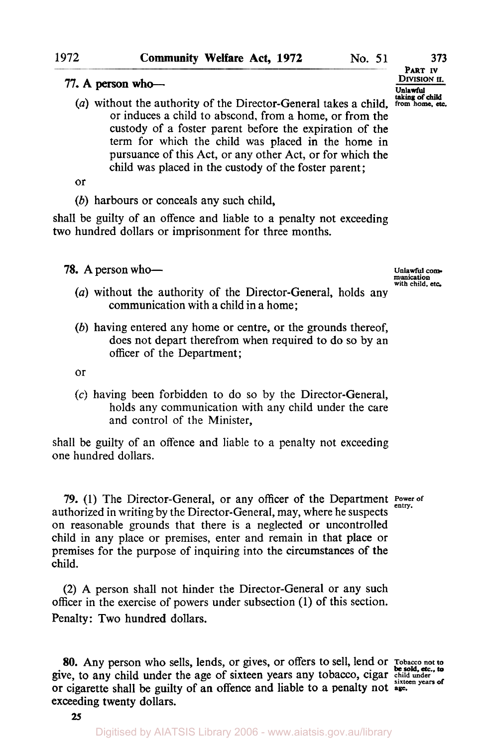#### 77. A person who--

(a) without the authority of the Director-General takes a child, from home, etc. or induces a child to abscond, from a home, or from the custody of a foster parent before the expiration of the term for which the child was placed in the home in pursuance of this Act, or any other Act, or for which the child was placed in the custody of the foster parent;

or

*(b)* harbours or conceals any such child,

shall be guilty of an offence and liable to a penalty not exceeding two hundred dollars or imprisonment for three months.

**78.** A person who-

- *(a)* without the authority of the Director-General, holds any communication with a child in a home;
- *(b)* having entered any home or centre, or the grounds thereof, does not depart therefrom when required to do so by an officer of the Department ;

or

**(c)** having been forbidden to do so by the Director-General, holds any communication with any child under the care and control of the Minister,

shall be guilty of an offence and liable to a penalty not exceeding one hundred dollars.

**79.** (1) The Director-General, or any officer of the Department Power of authorized in writing by the Director-General, may, where he suspects on reasonable grounds that there is a neglected or uncontrolled child in any place or premises, enter and remain in that place or premises for the purpose of inquiring into the circumstances of the child.

**(2)** A person shall not hinder the Director-General or any such officer in the exercise of powers under subsection (1) of this section. Penalty: Two hundred dollars.

**80.** Any person who sells, lends, or gives, or offers to sell, lend or **Tobacco not to**  give, to any child under the age of sixteen years any tobacco, cigar child under sixteen years of  $\frac{1}{2}$ or cigarette shall be guilty of an offence and liable to a penalty not **age.**  exceeding twenty dollars.

*25*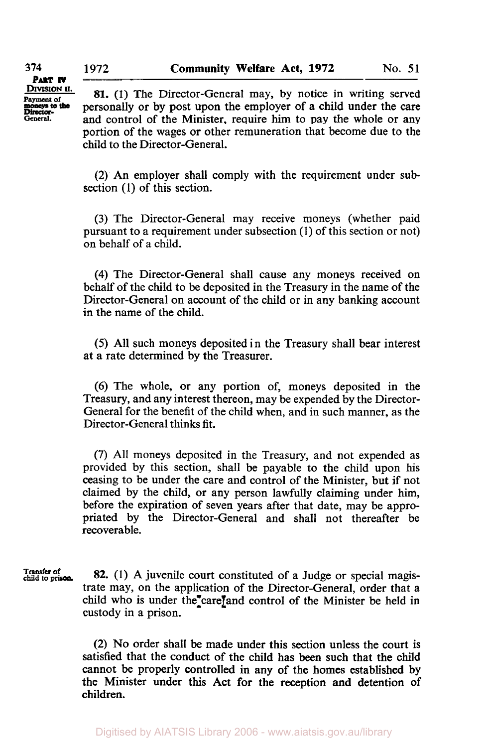**DIVISION II. PART IV** 

**Payment of the S1.** (1) The Director-General may, by notice in writing served<br> **Payment of the S1.** (1) The Director-General may, by notice in writing served<br> **Director**personally or by post upon the employer of a child under the care *General.* and control of the Minister, require him to pay the whole or any portion of the wages or other remuneration that become due to the child to the Director-General.

> (2) An employer shall comply with the requirement under **sub**section (1) of this section.

> (3) The Director-General may receive moneys (whether paid pursuant to a requirement under subsection (1) of this section or not) on behalf of a child.

> **(4)** The Director-General shall cause any moneys received on behalf of the child to be deposited in the Treasury in the name of the Director-General on account of the child or in any banking account in the name of the child.

> *(5)* All such moneys deposited in the Treasury shall bear interest at a rate determined by the Treasurer.

> (6) The whole, or any portion of, moneys deposited in the Treasury, and any interest thereon, may be expended by the Director-General for the benefit of the child when, and in such manner, as the Director-General thinks fit.

> (7) All moneys deposited in the Treasury, and not expended as provided by this section, shall be payable to the child upon his ceasing to be under the care and control of the Minister, but if not claimed by the child, or any person lawfully claiming under him, before the expiration of seven years after that date, may be appropriated by the Director-General and shall not thereafter be recoverable.

**Transfer of 82.** (1) A juvenile court constituted of a Judge or special magistrate may, on the application of the Director-General, order that a child who is under the care and control of the Minister be held in custody in a prison.

> (2) No order shall be made under this section unless the court is satisfied that the conduct of the child has been such that the child cannot be properly controlled in any of the homes established by the Minister under this **Act** for the reception **and** detention of children.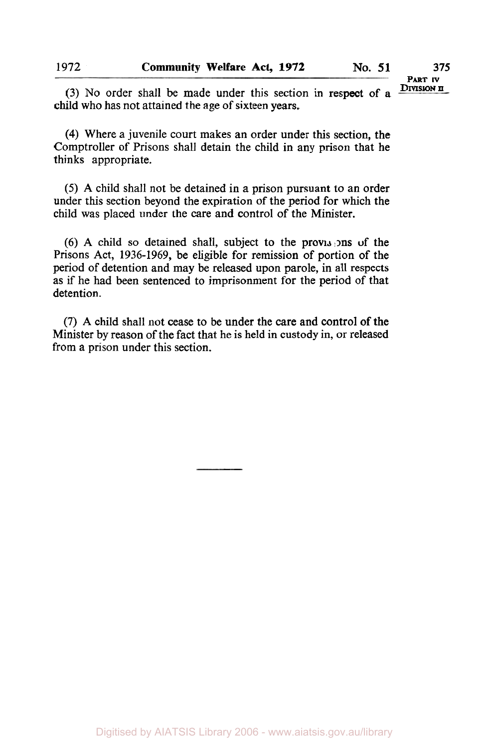(3) No order shall be made under this section in respect of a child who has not attained the age of sixteen years.

**(4)** Where a juvenile court makes an order under this section, the Comptroller of Prisons shall detain the child in any prison that he thinks appropriate.

*(5)* A child shall not be detained in a prison pursuant to an order under this section beyond the expiration of the period for which the child was placed under the care and control of the Minister.

(6) A child so detained shall, subject to the provisions of the Prisons Act, 1936-1969, be eligible for remission of portion of the period of detention and may be released upon parole, in all respects as if he had been sentenced to imprisonment for the period of that detention.

**(7)** A child shall not cease to be under the care and control of the Minister by reason of the fact that he is held in custody in, or released from a prison under this section.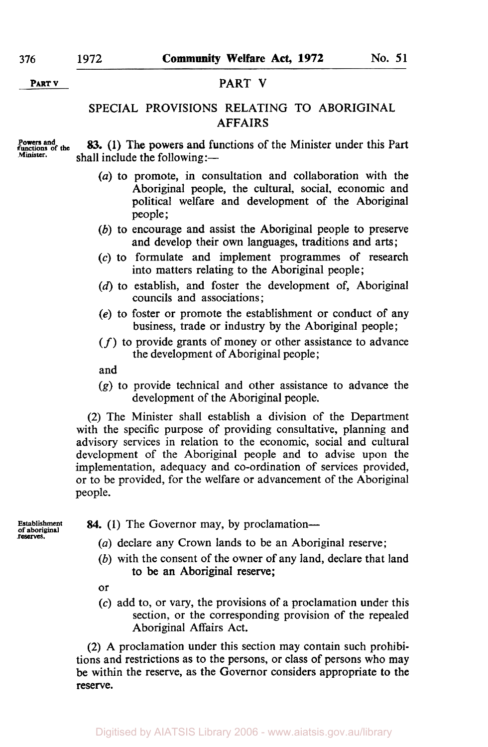### **PART V PART V**

# SPECIAL PROVISIONS RELATING **TO** ABORIGINAL AFFAIRS

**Powers and functions of the** 

shall include the following:— **83. (1)** The powers and functions of the Minister under this Part

- *(a)* to promote, in consultation and collaboration with the Aboriginal people, the cultural, social, economic and political welfare and development of the Aboriginal people ;
- *(b)* to encourage and assist the Aboriginal people to preserve and develop their own languages, traditions and arts;
- **(c)** to formulate and implement programmes of research into matters relating to the Aboriginal people;
- **(d)** to establish, and foster the development of, Aboriginal councils and associations ;
- *(e)* to foster or promote the establishment or conduct of any business, trade or industry by the Aboriginal people;
- *(f)* to provide grants of money or other assistance to advance the development of Aboriginal people;

and

**(g)** to provide technical and other assistance to advance the development of the Aboriginal people.

(2) The Minister shall establish a division of the Department with the specific purpose of providing consultative, planning and advisory services in relation to the economic, social and cultural development of the Aboriginal people and to advise upon the implementation, adequacy and co-ordination of services provided, or to be provided, for the welfare or advancement of the Aboriginal people.

**Establishment of aboriginal reserves.** 

- **84.** (1) The Governor may, by proclamation—
	- *(a)* declare any Crown lands to be an Aboriginal reserve;
	- *(b)* with the consent of the owner of any land, declare that land to be an Aboriginal reserve;

or

*(c)* add to, or vary, the provisions of a proclamation under this section, or the corresponding provision of the repealed Aboriginal Affairs Act.

**(2)** A proclamation under this section may contain such prohibitions and restrictions as to the persons, or class of persons who may be within the reserve, as the Governor considers appropriate to the reserve.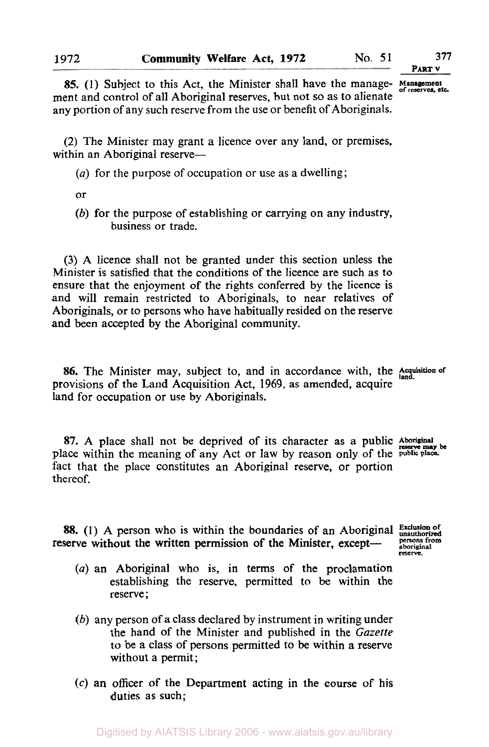**PART v** 

**85.** (1) Subject to this Act, the Minister shall have the manage- Management of reserves, etc. ment and control of all Aboriginal reserves, but not so as to alienate any portion of any such reserve from the use or benefit of Aboriginals.

**(2)** The Minister may grant a licence over any land, or premises, within an Aboriginal reserve-

- *(a)* for the purpose of occupation **or** use as a dwelling;
- or
- *(b)* for the purpose of establishing or carrying on any industry, business or trade.

**(3)** A licence shall not be granted under this section unless the Minister is satisfied that the conditions of the licence are such as to ensure that the enjoyment of the rights conferred by the licence is and will remain restricted to Aboriginals, to near relatives of Aboriginals, or to persons who have habitually resided on the reserve and been accepted by the Aboriginal community.

**86.** The Minister may, subject to, and in accordance with, the *Acquisition* of provisions of the Land Acquisition Act, **1969,** as amended, acquire land for occupation or use by Aboriginals.

87. A place shall not be deprived of its character as a public Aboriginal place within the meaning of any Act or law by reason only of the **public place**  fact that the place constitutes an Aboriginal reserve, or portion thereof.

**88.** (1) A person who is within the boundaries of an Aboriginal Exclusion of serve without the written permission of the Minister, except— except aboriginal reserve without the written permission of the Minister, except-<br> **PESS**<br> **PESS** 

- *(a)* an Aboriginal who is, in terms of the proclamation establishing the reserve, permitted to be within the reserve;
- *(b)* any person of a class declared by instrument in writing under the hand of the Minister and published in the *Gazette*  to be a class of persons permitted to be within a reserve without a permit;
- *(c)* **an** officer of the Department acting in the course of his duties as such;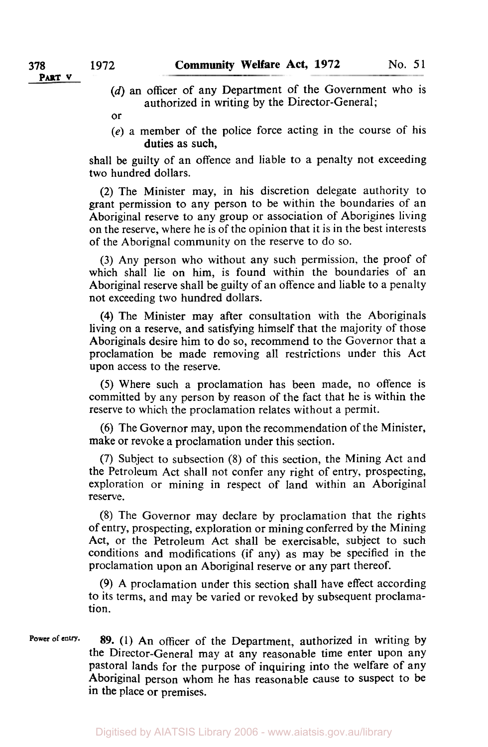- *(d)* an officer of any Department of the Government who is authorized in writing by the Director-General;
- or
- **(e)** a member of the police force acting in the course of his duties as such,

shall be guilty of an offence and liable to a penalty not exceeding two hundred dollars.

**(2)** The Minister may, in his discretion delegate authority to grant permission to any person to be within the boundaries of an Aboriginal reserve to any group or association of Aborigines living on the reserve, where he is of the opinion that it is in the best interests of the Aborignal community on the reserve to do so.

**(3) Any** person who without any such permission, the proof of which shall lie on him, is found within the boundaries of an Aboriginal reserve shall be guilty of an offence and liable to a penalty not exceeding two hundred dollars.

**(4)** The Minister may after consultation with the Aboriginals living on a reserve, and satisfying himself that the majority of those Aboriginals desire him to do *so,* recommend to the Governor that a proclamation be made removing all restrictions under this Act upon access to the reserve.

*(5)* Where such a proclamation has been made, no offence is committed by any person by reason of the fact that he is within the reserve to which the proclamation relates without a permit.

*(6)* The Governor may, upon the recommendation of the Minister, make or revoke a proclamation under this section.

(7) Subject to subsection **(8)** of this section, the Mining Act and the Petroleum Act shall not confer any right of entry, prospecting, exploration or mining in respect of land within an Aboriginal reserve.

**(8)** The Governor may declare by proclamation that the rights of entry, prospecting, exploration or mining conferred by the Mining Act, or the Petroleum Act shall be exercisable, subject to such conditions and modifications (if any) as may be specified in the proclamation upon an Aboriginal reserve or any part thereof.

**(9) A** proclamation under this section shall have effect according to its terms, and may be varied or revoked by subsequent proclamation.

Power of entry. 89. (1) An officer of the Department, authorized in writing by the Director-General may at any reasonable time enter upon any pastoral lands for the purpose **of** inquiring into the welfare of any Aboriginal person whom he has reasonable cause to suspect to be in the place or premises.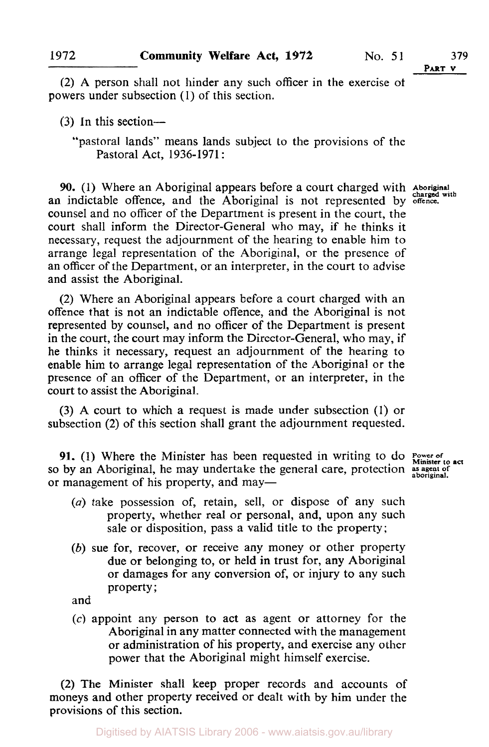**PART V** 

**(2)** A person shall not hinder any such officer in the exercise of powers under subsection (1) of this section.

**(3)** In this section-

"pastoral lands" means lands subject to the provisions of the Pastoral Act, 1936-1971 :

**90.** (1) Where an Aboriginal appears before a court charged with Aboriginal **an** indictable offence, and the Aboriginal is not represented by **offence.**  counsel and no officer of the Department is present in the court, the court shall inform the Director-General who may, if he thinks it necessary, request the adjournment of the hearing to enable him to arrange legal representation of the Aboriginal, or the presence of an officer of the Department, or an interpreter, in the court to advise and assist the Aboriginal.

(2) Where an Aboriginal appears before a court charged with an offence that is not an indictable offence, and the Aboriginal is not represented by counsel, and no officer of the Department is present in the court, the court may inform the Director-General, who may, if he thinks it necessary, request an adjournment of the hearing to enable him to arrange legal representation of the Aboriginal or the presence of an officer of the Department, or an interpreter, in the court to assist the Aboriginal.

(3) A court to which a request is made under subsection (1) or subsection **(2)** of this section shall grant the adjournment requested.

**91.** (1) Where the Minister has been requested in writing to do **Power of Example 32.1** (1) where the Minister has been requested in writing to 25 Minister to act so by an Aboriginal, he may undertake the general care, protection as agent of or management of his property, and may—

- *(a)* take possession of, retain, sell, or dispose of any such property, whether real or personal, and, upon any such sale or disposition, pass a valid title to the property;
- *(b)* sue for, recover, or receive any money or other property due or belonging to, or held in trust for, any Aboriginal or damages for any conversion of, or injury to any such property;

and

*(c)* appoint any person to act as agent or attorney for the Aboriginal in any matter connected with the management or administration of his property, and exercise any other power that the Aboriginal might himself exercise.

**(2)** The Minister shall keep proper records and accounts of moneys and other property received or dealt with by him under the provisions of this section.